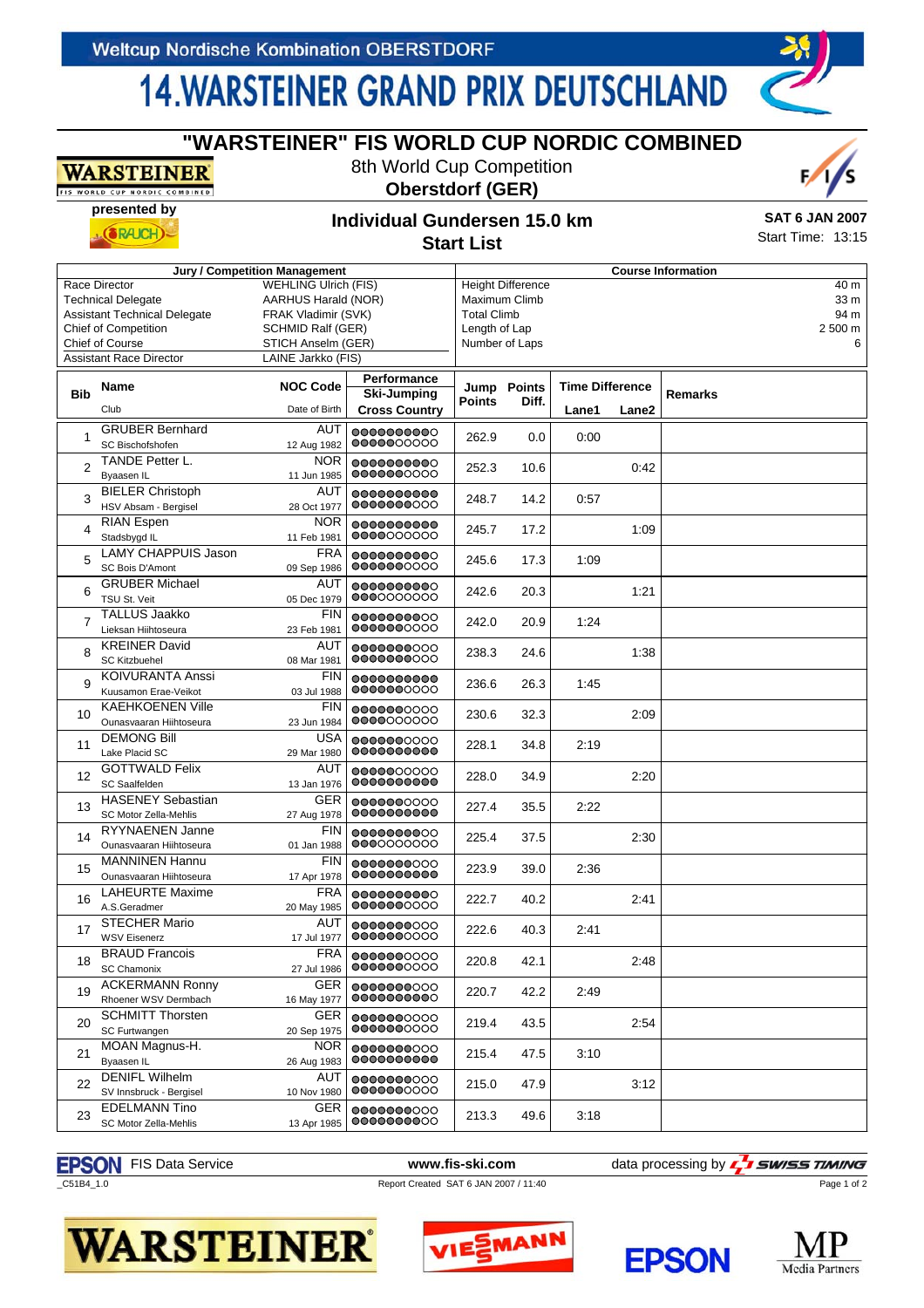**presented by**

 $(RAICH)$ 

**WARSTEINER** ORLD CUP NORDIC COMBINED

## **14. WARSTEINER GRAND PRIX DEUTSCHLAND**

| <b>Jury / Competition Management</b>                                                                                                                                  |                                                    |                                                                                                                                                   |                                                    | <b>Course Information</b>                                                                          |                      |                                 |       |                                      |  |  |
|-----------------------------------------------------------------------------------------------------------------------------------------------------------------------|----------------------------------------------------|---------------------------------------------------------------------------------------------------------------------------------------------------|----------------------------------------------------|----------------------------------------------------------------------------------------------------|----------------------|---------------------------------|-------|--------------------------------------|--|--|
| Race Director<br><b>Technical Delegate</b><br><b>Assistant Technical Delegate</b><br><b>Chief of Competition</b><br>Chief of Course<br><b>Assistant Race Director</b> |                                                    | <b>WEHLING Ulrich (FIS)</b><br>AARHUS Harald (NOR)<br>FRAK Vladimir (SVK)<br><b>SCHMID Ralf (GER)</b><br>STICH Anselm (GER)<br>LAINE Jarkko (FIS) |                                                    | <b>Height Difference</b><br>Maximum Climb<br><b>Total Climb</b><br>Length of Lap<br>Number of Laps |                      |                                 |       | 40 m<br>33 m<br>94 m<br>2 500 m<br>6 |  |  |
| <b>Bib</b>                                                                                                                                                            | <b>Name</b><br>Club                                | <b>NOC Code</b><br>Date of Birth                                                                                                                  | Performance<br>Ski-Jumping<br><b>Cross Country</b> | Points                                                                                             | Jump Points<br>Diff. | <b>Time Difference</b><br>Lane1 | Lane2 | <b>Remarks</b>                       |  |  |
| 1                                                                                                                                                                     | <b>GRUBER Bernhard</b><br>SC Bischofshofen         | AUT<br>12 Aug 1982                                                                                                                                | 0000000000<br>0000000000                           | 262.9                                                                                              | 0.0                  | 0:00                            |       |                                      |  |  |
| 2                                                                                                                                                                     | TANDE Petter L.<br>Byaasen IL                      | <b>NOR</b><br>11 Jun 1985                                                                                                                         | 0000000000<br>0000000000                           | 252.3                                                                                              | 10.6                 |                                 | 0:42  |                                      |  |  |
| 3                                                                                                                                                                     | <b>BIELER Christoph</b><br>HSV Absam - Bergisel    | AUT<br>28 Oct 1977                                                                                                                                | 0000000000<br>0000000000                           | 248.7                                                                                              | 14.2                 | 0:57                            |       |                                      |  |  |
| 4                                                                                                                                                                     | <b>RIAN Espen</b><br>Stadsbygd IL                  | <b>NOR</b><br>11 Feb 1981                                                                                                                         | 0000000000<br>0000000000                           | 245.7                                                                                              | 17.2                 |                                 | 1:09  |                                      |  |  |
| 5                                                                                                                                                                     | <b>LAMY CHAPPUIS Jason</b><br>SC Bois D'Amont      | <b>FRA</b><br>09 Sep 1986                                                                                                                         | 0000000000<br>0000000000                           | 245.6                                                                                              | 17.3                 | 1:09                            |       |                                      |  |  |
| 6                                                                                                                                                                     | <b>GRUBER Michael</b><br>TSU St. Veit              | AUT<br>05 Dec 1979                                                                                                                                | 0000000000<br>0000000000                           | 242.6                                                                                              | 20.3                 |                                 | 1:21  |                                      |  |  |
| $\overline{7}$                                                                                                                                                        | <b>TALLUS Jaakko</b><br>Lieksan Hiihtoseura        | <b>FIN</b><br>23 Feb 1981                                                                                                                         | 0000000000<br>0000000000                           | 242.0                                                                                              | 20.9                 | 1:24                            |       |                                      |  |  |
| 8                                                                                                                                                                     | <b>KREINER David</b><br><b>SC Kitzbuehel</b>       | AUT<br>08 Mar 1981                                                                                                                                | 0000000000<br>0000000000                           | 238.3                                                                                              | 24.6                 |                                 | 1:38  |                                      |  |  |
| 9                                                                                                                                                                     | <b>KOIVURANTA Anssi</b><br>Kuusamon Erae-Veikot    | <b>FIN</b><br>03 Jul 1988                                                                                                                         | 0000000000<br>0000000000                           | 236.6                                                                                              | 26.3                 | 1:45                            |       |                                      |  |  |
| 10                                                                                                                                                                    | <b>KAEHKOENEN Ville</b><br>Ounasvaaran Hiihtoseura | <b>FIN</b><br>23 Jun 1984                                                                                                                         | 0000000000<br>0000000000                           | 230.6                                                                                              | 32.3                 |                                 | 2:09  |                                      |  |  |
| 11                                                                                                                                                                    | <b>DEMONG Bill</b><br>Lake Placid SC               | <b>USA</b><br>29 Mar 1980                                                                                                                         | 0000000000<br>0000000000                           | 228.1                                                                                              | 34.8                 | 2:19                            |       |                                      |  |  |
| 12                                                                                                                                                                    | <b>GOTTWALD Felix</b><br>SC Saalfelden             | AUT<br>13 Jan 1976                                                                                                                                | 0000000000<br>0000000000                           | 228.0                                                                                              | 34.9                 |                                 | 2:20  |                                      |  |  |
| 13                                                                                                                                                                    | <b>HASENEY Sebastian</b><br>SC Motor Zella-Mehlis  | <b>GER</b><br>27 Aug 1978                                                                                                                         | 0000000000<br>0000000000                           | 227.4                                                                                              | 35.5                 | 2:22                            |       |                                      |  |  |
| 14                                                                                                                                                                    | RYYNAENEN Janne<br>Ounasvaaran Hiihtoseura         | <b>FIN</b><br>01 Jan 1988                                                                                                                         | 0000000000<br>0000000000                           | 225.4                                                                                              | 37.5                 |                                 | 2:30  |                                      |  |  |
| 15                                                                                                                                                                    | <b>MANNINEN Hannu</b><br>Ounasvaaran Hiihtoseura   | <b>FIN</b><br>17 Apr 1978                                                                                                                         | 0000000000<br>0000000000                           | 223.9                                                                                              | 39.0                 | 2:36                            |       |                                      |  |  |
| 16                                                                                                                                                                    | <b>LAHEURTE Maxime</b><br>A.S.Geradmer             | <b>FRA</b><br>20 May 1985                                                                                                                         | 0000000000<br>0000000000                           | 222.7                                                                                              | 40.2                 |                                 | 2:41  |                                      |  |  |
| 17                                                                                                                                                                    | <b>STECHER Mario</b><br><b>WSV Eisenerz</b>        | AUT<br>17 Jul 1977                                                                                                                                | 0000000000<br>0000000000                           | 222.6                                                                                              | 40.3                 | 2:41                            |       |                                      |  |  |
| 18                                                                                                                                                                    | <b>BRAUD Francois</b><br><b>SC Chamonix</b>        | <b>FRA</b><br>27 Jul 1986                                                                                                                         | 0000000000<br>0000000000                           | 220.8                                                                                              | 42.1                 |                                 | 2:48  |                                      |  |  |
| 19                                                                                                                                                                    | <b>ACKERMANN Ronny</b><br>Rhoener WSV Dermbach     | GER<br>16 May 1977                                                                                                                                | 0000000000<br>0000000000                           | 220.7                                                                                              | 42.2                 | 2:49                            |       |                                      |  |  |
| 20                                                                                                                                                                    | <b>SCHMITT Thorsten</b><br>SC Furtwangen           | <b>GER</b><br>20 Sep 1975                                                                                                                         | 0000000000<br>0000000000                           | 219.4                                                                                              | 43.5                 |                                 | 2:54  |                                      |  |  |
| 21                                                                                                                                                                    | MOAN Magnus-H.<br>Byaasen IL                       | <b>NOR</b><br>26 Aug 1983                                                                                                                         | 0000000000<br>0000000000                           | 215.4                                                                                              | 47.5                 | 3:10                            |       |                                      |  |  |
| 22                                                                                                                                                                    | <b>DENIFL Wilhelm</b><br>SV Innsbruck - Bergisel   | AUT<br>10 Nov 1980                                                                                                                                | 0000000000<br>0000000000                           | 215.0                                                                                              | 47.9                 |                                 | 3:12  |                                      |  |  |
| 23                                                                                                                                                                    | <b>EDELMANN Tino</b><br>SC Motor Zella-Mehlis      | <b>GER</b><br>13 Apr 1985                                                                                                                         | 0000000000<br>0000000000                           | 213.3                                                                                              | 49.6                 | 3:18                            |       |                                      |  |  |

## **"WARSTEINER" FIS WORLD CUP NORDIC COMBINED**

8th World Cup Competition **Oberstdorf (GER)**



Start Time: 13:15

## **Individual Gundersen 15.0 km Start List**

### \_C51B4\_1.0 Report Created SAT 6 JAN 2007 / 11:40

**EPSON** FIS Data Service **www.fis-ski.com** data processing by **4 SWISS TIMING** 





Page 1 of 2